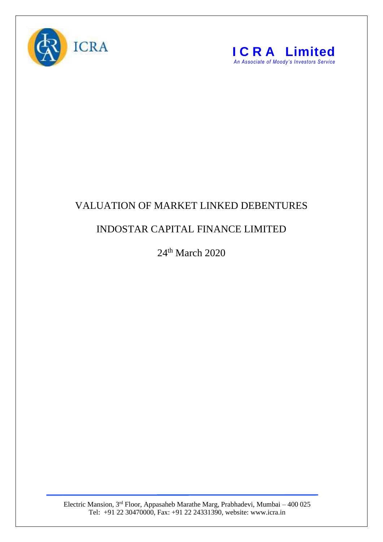



## VALUATION OF MARKET LINKED DEBENTURES

## INDOSTAR CAPITAL FINANCE LIMITED

24<sup>th</sup> March 2020

Electric Mansion, 3<sup>rd</sup> Floor, Appasaheb Marathe Marg, Prabhadevi, Mumbai – 400 025 Tel: +91 22 30470000, Fax: +91 22 24331390, website: www.icra.in